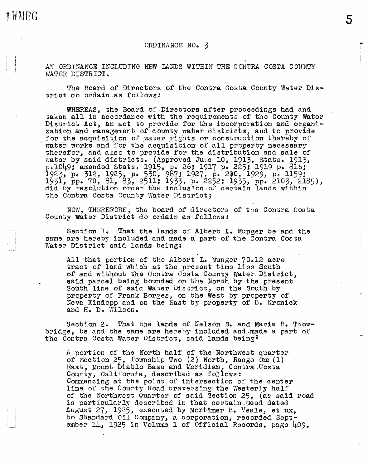1 WMBG

## ORDINANCE NO. 3

AN ORDINANCE INCLUDING NEW LANDS WITHIN THE CONTRA COSTA COUNTY WATER DISTRICT.

The Board of Directors of the Contra Costa County Water District do ordain as follows:

WHEREAS, the Board of.Directors after proceedings had and taken all in accordance with the requirements of the County Water<br>District Act, an act to provide for the incorporation and organization and management of county water districts, and to provide for the acquisition of water rights or construction thereby of water works and for the acquisition of all property necessary therefor, and also to provide for the distribution and sale of water by said districts. (Approved Jure 10, 1913, Stats. 1913, p.1049; amended Stats. 1915, p. 26; 1917 p. 225; 1919 p. 816;<br>1923, p. 312, 1925, p. 530, 987; 1927, p. 290, 1929, p. 1159;<br>1931, pp. 70, 81, 83, 2511; 1933, p. 2252; 1935, pp. 2103, 2185),<br>did by resolution order the incl the Contra Costa County Water District;

NOW, THEREFORE, the board of directors of the Contra Costa County water District do ordain as follows:

Section 1. That the lands of Albert  $L_•$  Munger be and the same are hereby included and made a part of the Contra Costa Water District said lands being:

All that portion of the Albert L. Munger 70.12 acre tract of land which at the present time lies South of and without the Contra Costa County Water District, said parcel being bounded on the North by the present South line of said Water District, on the South by property of Frank Borges, on the West by property of Neva Kindopp and on the East by property of·B. Kronick and H. D. Wilson.

Section 2. That the lands of Nelson S. and Marie B. Trowbridge, be and the same are hereby included and~made a part of the Contra Costa Water District, said lands being:

A portion or the North half of the Northwest quarter of Section 25, Township Two (2) North, Range One (1) East, Mount Diablo Base and Meridian, Contra,Costa County, California, described as follows: Commencing at the point of intersection of the oenter line of the County Road traversing the Westerly half of the Northwest Quarter of said Section 25, (as said road is particularly described in that certain,Deed dated August 27, 1925, executed by Mortimer B. Veale, et ux, to Standard Oil Company, a corporation, recorded September  $1\mu$ , 1925 in Volume 1 of Official Records, page  $\mu$ 09,

5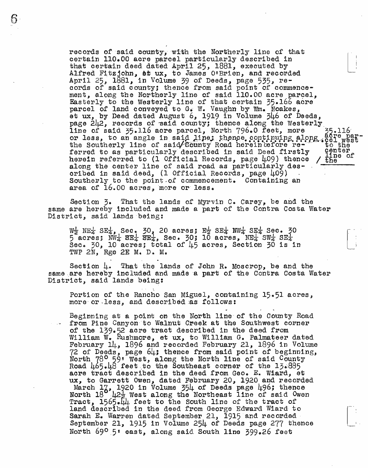records of said county, with the Northerly line of that certain 110.00 acre parcel particularly described in that certain deed dated April 25, 1881, executed by Alfred Fitzjohn, et ux, to James O'Brien, and recorded April 25, 1881, in Volume 39 of Deeds, page 535, records of said county; thence from said point of commencement, along the Northerly line of said 110.00 acre parcel, Easterly to the Westerly line of that certain 35.166 acre parcel of land conveyed to G. W. Vaughn by Wm. Noakes, et ux, by Deed dated August 6, 1919 in Volume  $346$  of Deeds, page 242, records of said county; thence along the Westerly<br>line of said 35.116 acre parcel, North 796.0 feet, more 35.116<br>or less to an angle in said line: thence continuing along 2079.09 line of said  $55.116$  acre parcel, North  $796.0$  feet, more  $55.116$ , or less, to an angle in said line; thence, continuing along accel westthe Southerly line of said/county Road herein tefore re-only to the ferred to as particularly described in said Deed firstly center hered to as particularly described in said Deed firstly center along the center line of said road as particularly described in said deed, (1 Official Records, page  $\mu$ 09) .<br>Southerly to the point of commencement. Containing an area of  $16.00$  acres, more or less.

Section  $\zeta$ . That the lands of Myrvin C. Carey, be and the same are hereby included and made a part of the Contra Costa Water District, said lands being:

 $W_2$  NE<sub>4</sub> SE<sub>4</sub>, Sec. 30, 20 acres; E<sub>2</sub> SE<sub>4</sub> NW<sub>4</sub> SE<sub>4</sub> Sec. 30  $5 \text{ acres: } \frac{12}{104} \text{ s} = \frac{12}{100} \text{ s} = \frac{12}{100} \text{ s} = \frac{12}{100} \text{ s} = \frac{12}{100} \text{ s} = \frac{12}{100} \text{ s} = \frac{12}{100} \text{ s} = \frac{12}{100} \text{ s} = \frac{12}{100} \text{ s} = \frac{12}{100} \text{ s} = \frac{12}{100} \text{ s} = \frac{12}{100} \text{ s} = \frac{12}{100} \text{ s} = \frac{12$ Sec.  $30$ , 10 acres; total of  $\mu$ 5 acres, Section 30 is in TWP 2N, Rge 2E M. Da M.

 $\sim$  100 km s  $^{-1}$  . The set of the set of the set of the set of the set of the set of the set of the set of the set of the set of the set of the set of the set of the set of the set of the set of the set of the set of t Section  $\mu$ . That the lands of John R. Moscrop, be and the same are hereby included and made a part of the Contra Costa Water District, said lands being:

Portion of the Rancho San Miguel, containing 15.51 acres, more or less, and described as follows:

Beginning at a point on the North line of the County Road from Pine Canyon to Walnut Creek at the Southwest corner of the 139.52 acre tract described in the deed from William W. Rushmore, et ux, to William G. Palmateer dated February 14, 1896 and recorded February 21, 1896 in Volume 72 of Deeds, page 64; thence from said point of beginning, North 78° 59' West, along the North line of said County Road  $\mu$ 65. $\mu$ 8 feet to the Southeast corner of the 13.885 acre tract described in the deed from Geo. E. Wiard, et ux, to Garrett Owen, dated February 20, 1920 and recorded A, to darrett owen, dated repruary 20, 1920 and records<br>March 17, 1920 in Volume 354 of Deeds page 496; thence North  $18^\circ$   $\mu_{27}$  west along the Northeast line of said Owen Tract, 1565.44 feet to the South line of the tract of land described in the deed from George Edward Wiard to Sarah E. Warren dated September 21, 1915 and recorded September 21, 1915 in Volume 254 of Deeds page 277 thence North 69º 5' east, along said South line 399.26 feet

I •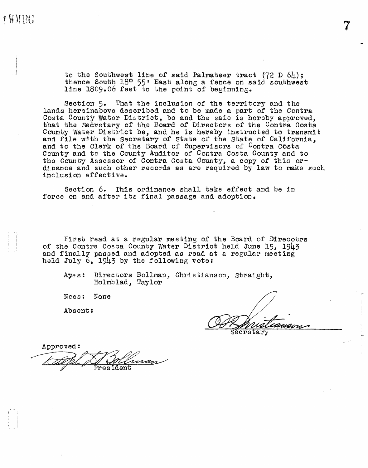$\pm$  to the Southwest line of said Palmateer tract (72 D 64); thence South 18° 55' East along a fence on said southwest line 1809.06 feet to the point of beginning.

> Section 5. That the inclusion of the territory and the lands hereinabove described and to be made a part of the Contra Costa County Water District, be and the saie is hereby approved, that the Secretary of the Board of Directors of the Contra Costa County water District be., and he is hereby instructed to transmit and file with the Secretary of State of the State of California, and to the Clerk of the Board of Supervisors of Contra Costa County and to the County Auditor of Contra Costa County and to the County Assessor of Contra Costa County, a copy of this ordinance and such other records as are required by law to make such inclusion effective.

Section 6. This ordinance shall take effect and be in force on and after its final passage and adoption.

First read at a regular meeting of the Board of Direcotrs of the Contra Costa County water District held June 15, 1943 and finally passed and adopted as read at a regular meeting held July  $6$ , 1943 by the following vote:

Ayes: Directors Bollman, Christianson, Straight,<br>Holmblad, Taylor

Noes: None

Absent:

Approved: resid.ent